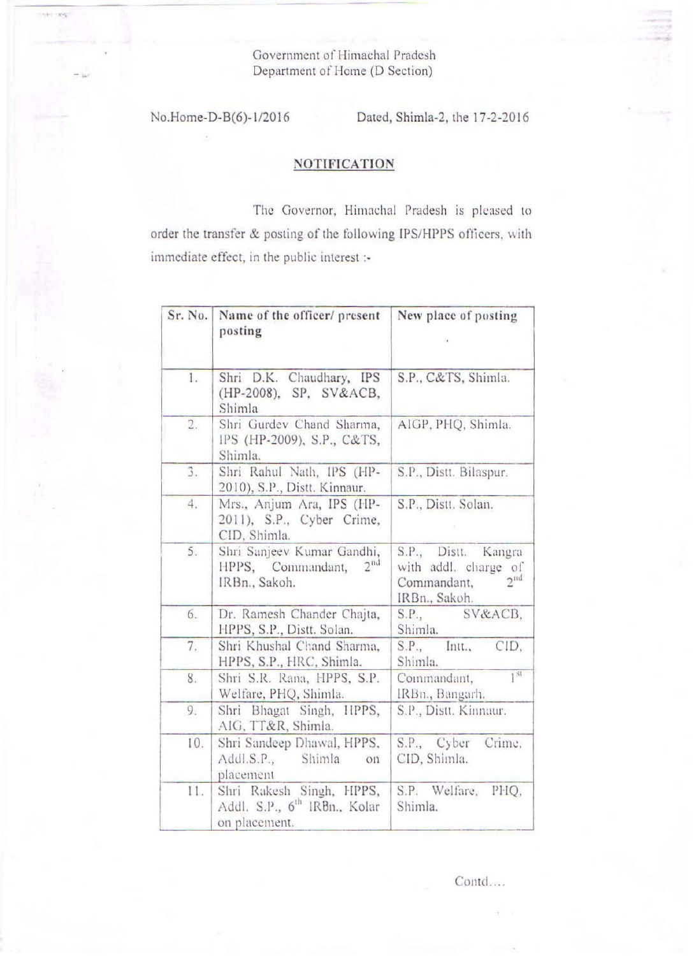Government of Himachal Pradesh Department of Home (D Section)

-.

**Hitler SING** 

No.Home-D-B(6)-1/2016 Dated, Shimla-2, the 17-2-2016

## **NOTIFICATION**

The Governor, Himachal Pradesh is pleased to order the transfer & posting of the following IPS/HPPS officers, with immediate effect, in the public interest :-

| Sr. No. | Name of the officer/ present<br>posting                                               | New place of posting                                                                            |
|---------|---------------------------------------------------------------------------------------|-------------------------------------------------------------------------------------------------|
| 1.      | Shri D.K. Chaudhary, IPS<br>(HP-2008), SP, SV&ACB,<br>Shimla                          | S.P., C&TS, Shimla.                                                                             |
| 2.      | Shri Gurdev Chand Sharma,<br>IPS (HP-2009), S.P., C&TS,<br>Shimla.                    | AIGP, PHQ, Shimla.                                                                              |
| 3.      | Shri Rahul Nath, IPS (HP-<br>2010), S.P., Distt. Kinnaur.                             | S.P., Distt. Bilaspur.                                                                          |
| 4.      | Mrs., Anjum Ara, IPS (HP-<br>2011), S.P., Cyber Crime,<br>CID, Shimla.                | S.P., Distt. Solan.                                                                             |
| 5.      | Shri Sanjeev Kumar Gandhi,<br>2 <sup>nd</sup><br>HPPS, Commandant,<br>IRBn., Sakoh.   | S.P., Distt. Kangra<br>with addl. charge of<br>2 <sup>11d</sup><br>Commandant,<br>IRBn., Sakoh. |
| 6.      | Dr. Ramesh Chander Chajta,<br>HPPS, S.P., Distt. Solan.                               | S.P., SV&ACB,<br>Shimla.                                                                        |
| 7.      | Shri Khushal Chand Sharma,<br>HPPS, S.P., HRC, Shimla.                                | S.P., Intt.,<br>CID,<br>Shimla.                                                                 |
| 8.      | Shri S.R. Rana, HPPS, S.P.<br>Welfare, PHQ, Shimla.                                   | 1 <sup>st</sup><br>Commandant,<br>IRBn., Bangarh.                                               |
| 9.      | Shri Bhagat Singh, HPPS,<br>AIG, TT&R, Shimla.                                        | S.P., Distt. Kinnaur.                                                                           |
| 10.     | Shri Sandeep Dhawal, HPPS,<br>Addl.S.P., Shimla<br>on<br>placement                    | S.P., Cyber<br>Crime,<br>CID, Shimla.                                                           |
| 11.     | Shri Rakesh Singh, HPPS,<br>Addl. S.P., 6 <sup>th</sup> IRBn., Kolar<br>on placement. | S.P. Welfare.<br>PHQ,<br>Shimla.                                                                |

Contd....